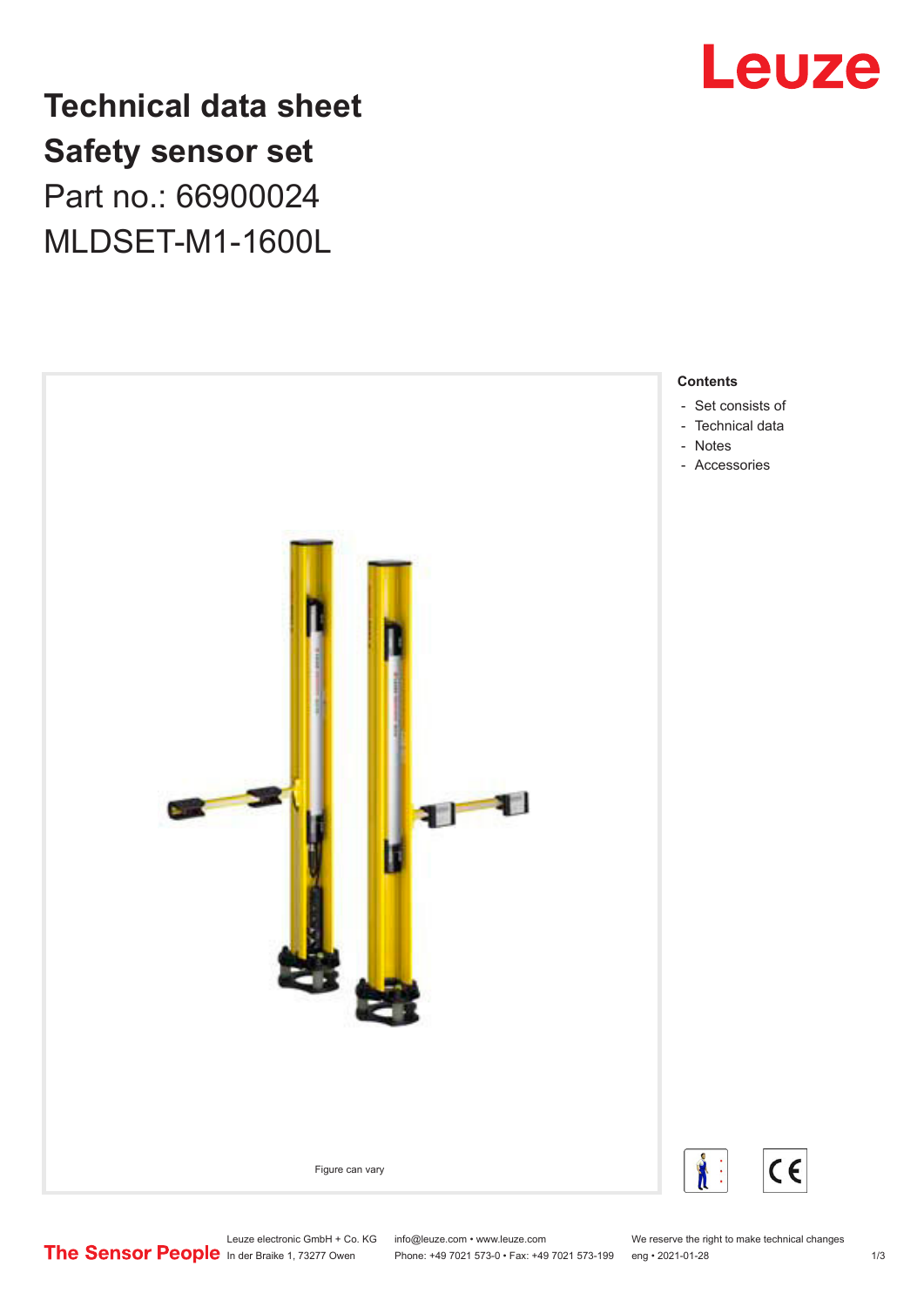

**Technical data sheet Safety sensor set** Part no.: 66900024 MLDSET-M1-1600L



Leuze electronic GmbH + Co. KG info@leuze.com • www.leuze.com We reserve the right to make technical changes<br>
The Sensor People in der Braike 1, 73277 Owen Phone: +49 7021 573-0 • Fax: +49 7021 573-199 eng • 2021-01-28 Phone: +49 7021 573-0 • Fax: +49 7021 573-199 eng • 2021-01-28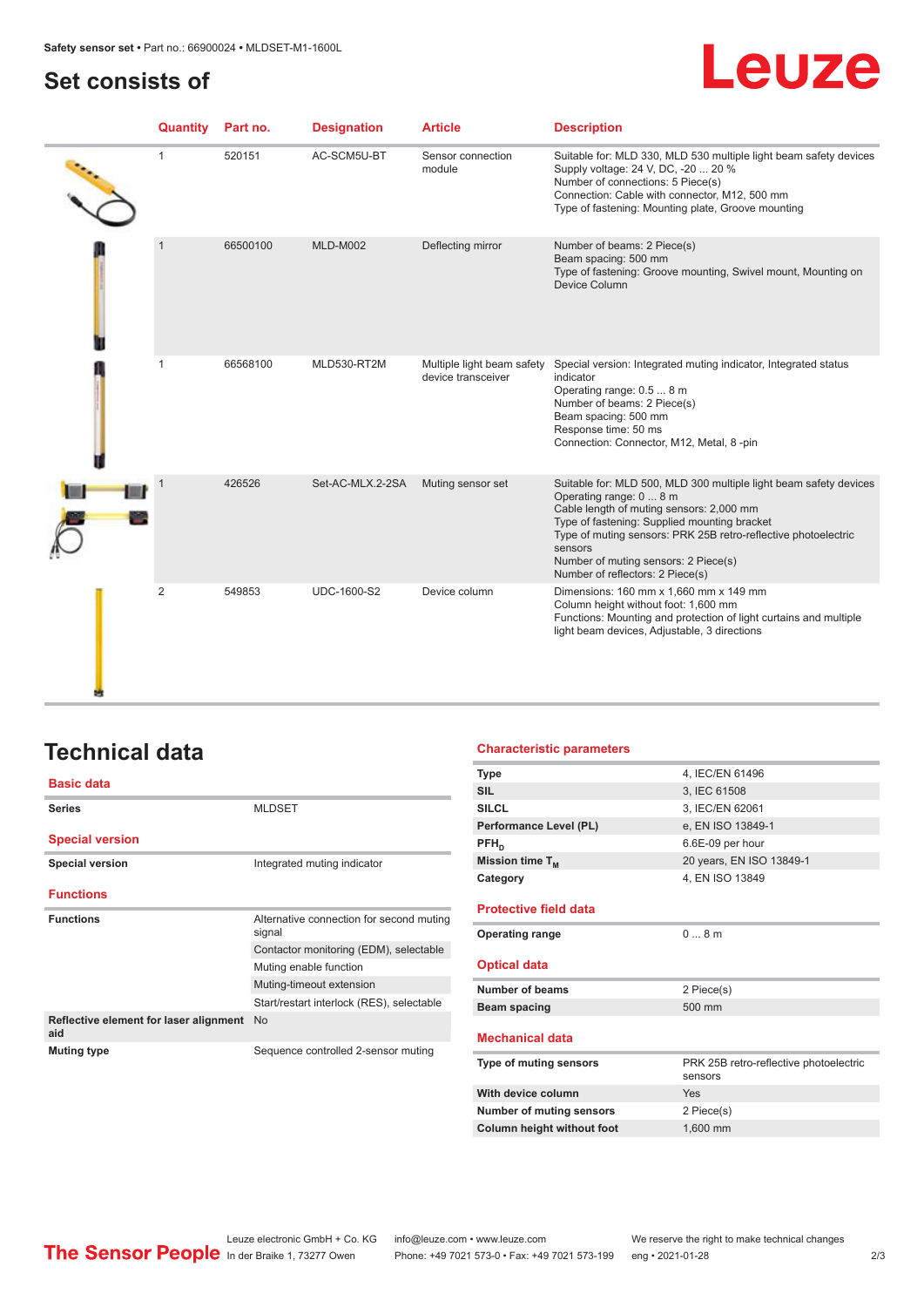### <span id="page-1-0"></span>**Set consists of**

# Leuze

| Quantity       | Part no. | <b>Designation</b> | <b>Article</b>                                   | <b>Description</b>                                                                                                                                                                                                                                                                                                                                |
|----------------|----------|--------------------|--------------------------------------------------|---------------------------------------------------------------------------------------------------------------------------------------------------------------------------------------------------------------------------------------------------------------------------------------------------------------------------------------------------|
| 1              | 520151   | AC-SCM5U-BT        | Sensor connection<br>module                      | Suitable for: MLD 330, MLD 530 multiple light beam safety devices<br>Supply voltage: 24 V, DC, -20  20 %<br>Number of connections: 5 Piece(s)<br>Connection: Cable with connector, M12, 500 mm<br>Type of fastening: Mounting plate, Groove mounting                                                                                              |
| -1             | 66500100 | <b>MLD-M002</b>    | Deflecting mirror                                | Number of beams: 2 Piece(s)<br>Beam spacing: 500 mm<br>Type of fastening: Groove mounting, Swivel mount, Mounting on<br>Device Column                                                                                                                                                                                                             |
|                | 66568100 | MLD530-RT2M        | Multiple light beam safety<br>device transceiver | Special version: Integrated muting indicator, Integrated status<br>indicator<br>Operating range: 0.5  8 m<br>Number of beams: 2 Piece(s)<br>Beam spacing: 500 mm<br>Response time: 50 ms<br>Connection: Connector, M12, Metal, 8 -pin                                                                                                             |
|                | 426526   | Set-AC-MLX.2-2SA   | Muting sensor set                                | Suitable for: MLD 500, MLD 300 multiple light beam safety devices<br>Operating range: 0  8 m<br>Cable length of muting sensors: 2,000 mm<br>Type of fastening: Supplied mounting bracket<br>Type of muting sensors: PRK 25B retro-reflective photoelectric<br>sensors<br>Number of muting sensors: 2 Piece(s)<br>Number of reflectors: 2 Piece(s) |
| $\overline{2}$ | 549853   | <b>UDC-1600-S2</b> | Device column                                    | Dimensions: 160 mm x 1,660 mm x 149 mm<br>Column height without foot: 1,600 mm<br>Functions: Mounting and protection of light curtains and multiple<br>light beam devices, Adjustable, 3 directions                                                                                                                                               |

# **Technical data**

| <b>Basic data</b>                             |                                                    | Тy<br>SI |
|-----------------------------------------------|----------------------------------------------------|----------|
| <b>Series</b>                                 | <b>MLDSET</b>                                      | SI       |
| <b>Special version</b>                        |                                                    | Pe       |
|                                               |                                                    | PF       |
| <b>Special version</b>                        | Integrated muting indicator                        | Mi       |
| <b>Functions</b>                              |                                                    | Сa       |
| <b>Functions</b>                              | Alternative connection for second muting<br>signal | Pı<br>O  |
|                                               | Contactor monitoring (EDM), selectable             |          |
|                                               | Muting enable function                             | O        |
|                                               | Muting-timeout extension                           |          |
|                                               | Start/restart interlock (RES), selectable          | B        |
| Reflective element for laser alignment<br>aid | <b>No</b>                                          | М        |
| <b>Muting type</b>                            | Sequence controlled 2-sensor muting                |          |
|                                               |                                                    | Тy       |

#### **Characteristic parameters**

| <b>Type</b>                       | 4, IEC/EN 61496                        |
|-----------------------------------|----------------------------------------|
| <b>SIL</b>                        | 3, IEC 61508                           |
| <b>SILCL</b>                      | 3, IEC/EN 62061                        |
| Performance Level (PL)            | e, EN ISO 13849-1                      |
| $PFH_n$                           | 6.6E-09 per hour                       |
| Mission time $T_M$                | 20 years, EN ISO 13849-1               |
| Category                          | 4, EN ISO 13849                        |
|                                   |                                        |
| <b>Protective field data</b>      |                                        |
| <b>Operating range</b>            | 08m                                    |
|                                   |                                        |
| <b>Optical data</b>               |                                        |
| Number of beams                   | 2 Piece(s)                             |
| Beam spacing                      | 500 mm                                 |
|                                   |                                        |
| <b>Mechanical data</b>            |                                        |
| Type of muting sensors            | PRK 25B retro-reflective photoelectric |
|                                   | sensors                                |
| With device column                | Yes                                    |
| <b>Number of muting sensors</b>   | 2 Piece(s)                             |
| <b>Column height without foot</b> | 1.600 mm                               |